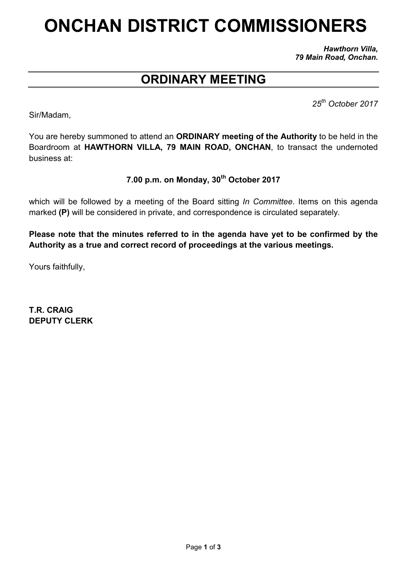# ONCHAN DISTRICT COMMISSIONERS

*Hawthorn Villa, 79 Main Road, Onchan.*

# ORDINARY MEETING

*25th October 2017*

Sir/Madam,

You are hereby summoned to attend an ORDINARY meeting of the Authority to be held in the Boardroom at HAWTHORN VILLA, 79 MAIN ROAD, ONCHAN, to transact the undernoted business at:

## 7.00 p.m. on Monday, 30<sup>th</sup> October 2017

which will be followed by a meeting of the Board sitting *In Committee*. Items on this agenda marked (P) will be considered in private, and correspondence is circulated separately.

Please note that the minutes referred to in the agenda have yet to be confirmed by the Authority as a true and correct record of proceedings at the various meetings.

Yours faithfully,

T.R. CRAIG DEPUTY CLERK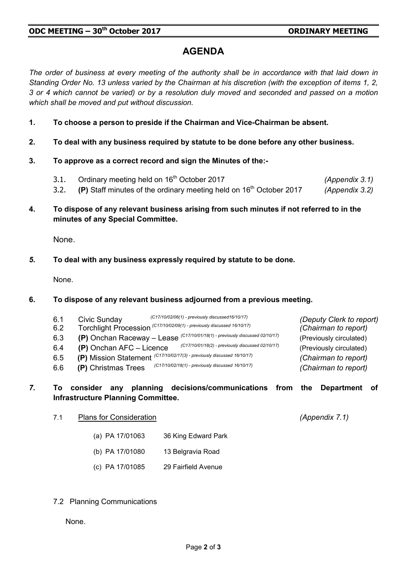## AGENDA

*The order of business at every meeting of the authority shall be in accordance with that laid down in Standing Order No. 13 unless varied by the Chairman at his discretion (with the exception of items 1, 2, 3 or 4 which cannot be varied) or by a resolution duly moved and seconded and passed on a motion which shall be moved and put without discussion.*

- 1. To choose a person to preside if the Chairman and Vice-Chairman be absent.
- 2. To deal with any business required by statute to be done before any other business.
- 3. To approve as a correct record and sign the Minutes of the:-
	- 3.1. Ordinary meeting held on 16<sup>th</sup> October 2017 *(Appendix 3.1)*
	- 3.2. (P) Staff minutes of the ordinary meeting held on 16th October 2017 *(Appendix 3.2)*
- 4. To dispose of any relevant business arising from such minutes if not referred to in the minutes of any Special Committee.

None.

*5.* To deal with any business expressly required by statute to be done.

None.

#### 6. To dispose of any relevant business adjourned from a previous meeting.

| 6.1<br>6.2 | (C17/10/02/06(1) - previously discussed16/10/17)<br>Civic Sunday<br>Torchlight Procession (C17/10/02/09(1) - previously discussed 16/10/17) | (Deputy Clerk to report)<br>(Chairman to report) |
|------------|---------------------------------------------------------------------------------------------------------------------------------------------|--------------------------------------------------|
| 6.3        | (P) Onchan Raceway - Lease (C17/10/01/18(1) - previously discussed 02/10/17)                                                                | (Previously circulated)                          |
| 6.4        | (C17/10/01/18(2) - previously discussed 02/10/17)<br>$(P)$ Onchan AFC - Licence                                                             | (Previously circulated)                          |
| 6.5        | (P) Mission Statement (C17/10/02/17(3) - previously discussed 16/10/17)                                                                     | (Chairman to report)                             |
| 6.6        | (C17/10/02/18(1) - previously discussed 16/10/17)<br>(P) Christmas Trees                                                                    | (Chairman to report)                             |

#### *7.* To consider any planning decisions/communications from the Department of Infrastructure Planning Committee.

- 7.1 Plans for Consideration *(Appendix 7.1)*
	- (a) PA 17/01063 36 King Edward Park
	- (b) PA 17/01080 13 Belgravia Road
	- (c) PA 17/01085 29 Fairfield Avenue
- 7.2 Planning Communications

None.